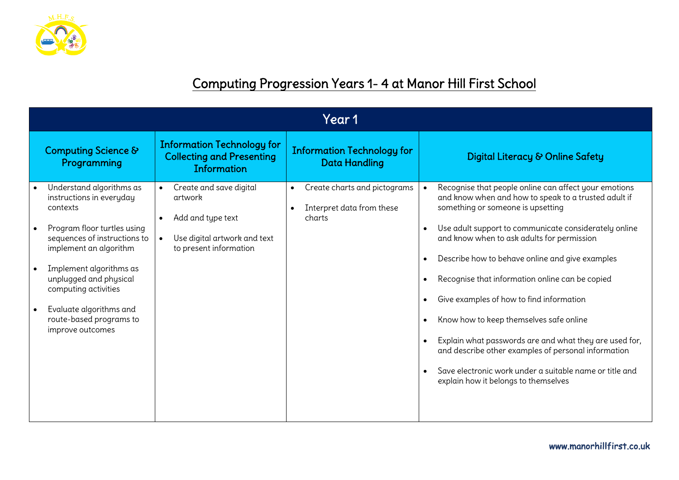

## Computing Progression Years 1- 4 at Manor Hill First School

| Year 1                                                                                                                                                                                                                                                                                                           |                                                                                                                                |                                                                                  |                                                                                                                                                                                                                                                                                                                                                                                                                                                                                                                                                                                                                                                                                                                                                                       |  |  |
|------------------------------------------------------------------------------------------------------------------------------------------------------------------------------------------------------------------------------------------------------------------------------------------------------------------|--------------------------------------------------------------------------------------------------------------------------------|----------------------------------------------------------------------------------|-----------------------------------------------------------------------------------------------------------------------------------------------------------------------------------------------------------------------------------------------------------------------------------------------------------------------------------------------------------------------------------------------------------------------------------------------------------------------------------------------------------------------------------------------------------------------------------------------------------------------------------------------------------------------------------------------------------------------------------------------------------------------|--|--|
| Computing Science &<br>Programming                                                                                                                                                                                                                                                                               | <b>Information Technology for</b><br><b>Collecting and Presenting</b><br>Information                                           | <b>Information Technology for</b><br>Data Handling                               | Digital Literacy & Online Safety                                                                                                                                                                                                                                                                                                                                                                                                                                                                                                                                                                                                                                                                                                                                      |  |  |
| Understand algorithms as<br>instructions in everyday<br>contexts<br>Program floor turtles using<br>sequences of instructions to<br>implement an algorithm<br>Implement algorithms as<br>unplugged and physical<br>computing activities<br>Evaluate algorithms and<br>route-based programs to<br>improve outcomes | Create and save digital<br>artwork<br>Add and type text<br>$\bullet$<br>Use digital artwork and text<br>to present information | Create charts and pictograms<br>$\bullet$<br>Interpret data from these<br>charts | Recognise that people online can affect your emotions<br>and know when and how to speak to a trusted adult if<br>something or someone is upsetting<br>Use adult support to communicate considerately online<br>$\bullet$<br>and know when to ask adults for permission<br>Describe how to behave online and give examples<br>$\bullet$<br>Recognise that information online can be copied<br>$\bullet$<br>Give examples of how to find information<br>$\bullet$<br>Know how to keep themselves safe online<br>$\bullet$<br>Explain what passwords are and what they are used for,<br>$\bullet$<br>and describe other examples of personal information<br>Save electronic work under a suitable name or title and<br>$\bullet$<br>explain how it belongs to themselves |  |  |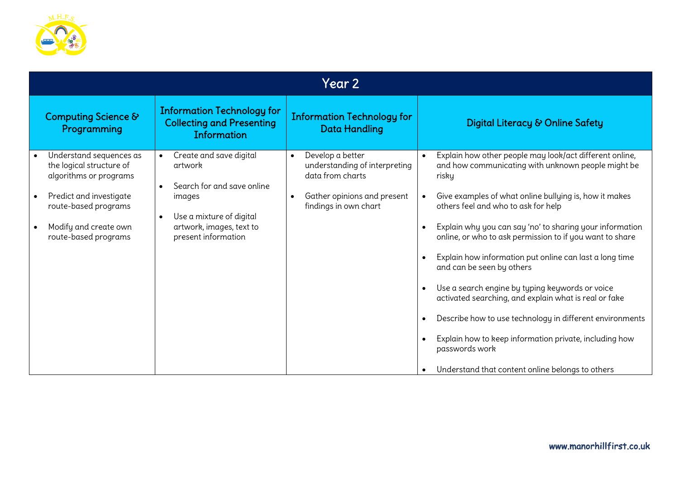

| Year 2                                                                                                                                                                            |                                                                                                                                                                                     |                                                                                                                                                         |                                     |                                                                                                                                                                                                                                                                                                                                                                                                                                                                                                                                                     |  |
|-----------------------------------------------------------------------------------------------------------------------------------------------------------------------------------|-------------------------------------------------------------------------------------------------------------------------------------------------------------------------------------|---------------------------------------------------------------------------------------------------------------------------------------------------------|-------------------------------------|-----------------------------------------------------------------------------------------------------------------------------------------------------------------------------------------------------------------------------------------------------------------------------------------------------------------------------------------------------------------------------------------------------------------------------------------------------------------------------------------------------------------------------------------------------|--|
| Computing Science &<br>Programming                                                                                                                                                | <b>Information Technology for</b><br><b>Collecting and Presenting</b><br><b>Information</b>                                                                                         | <b>Information Technology for</b><br>Data Handling                                                                                                      |                                     | Digital Literacy & Online Safety                                                                                                                                                                                                                                                                                                                                                                                                                                                                                                                    |  |
| Understand sequences as<br>the logical structure of<br>algorithms or programs<br>Predict and investigate<br>route-based programs<br>Modify and create own<br>route-based programs | Create and save digital<br>artwork<br>Search for and save online<br>$\bullet$<br>images<br>Use a mixture of digital<br>$\bullet$<br>artwork, images, text to<br>present information | Develop a better<br>$\bullet$<br>understanding of interpreting<br>data from charts<br>Gather opinions and present<br>$\bullet$<br>findings in own chart | $\bullet$<br>$\bullet$<br>$\bullet$ | Explain how other people may look/act different online,<br>and how communicating with unknown people might be<br>risky<br>Give examples of what online bullying is, how it makes<br>others feel and who to ask for help<br>Explain why you can say 'no' to sharing your information<br>online, or who to ask permission to if you want to share<br>Explain how information put online can last a long time<br>and can be seen by others<br>Use a search engine by typing keywords or voice<br>activated searching, and explain what is real or fake |  |
|                                                                                                                                                                                   |                                                                                                                                                                                     |                                                                                                                                                         | $\bullet$<br>$\bullet$<br>$\bullet$ | Describe how to use technology in different environments<br>Explain how to keep information private, including how<br>passwords work<br>Understand that content online belongs to others                                                                                                                                                                                                                                                                                                                                                            |  |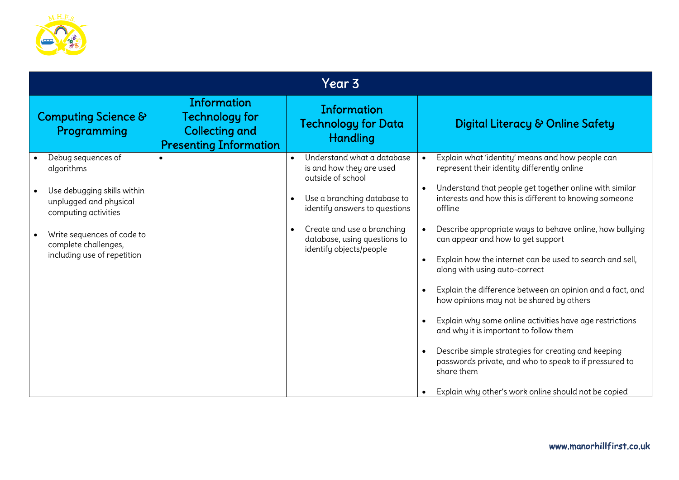

| Year 3                                                                                                                                                                                                 |                                                                                                       |                                                                                                                                                                                                                                                                             |                                                                                                                                                                                                                                                                                                                                                                                                                                                                                                                                                                                                                                                                                                                                                                                                                                                                                                                                |  |
|--------------------------------------------------------------------------------------------------------------------------------------------------------------------------------------------------------|-------------------------------------------------------------------------------------------------------|-----------------------------------------------------------------------------------------------------------------------------------------------------------------------------------------------------------------------------------------------------------------------------|--------------------------------------------------------------------------------------------------------------------------------------------------------------------------------------------------------------------------------------------------------------------------------------------------------------------------------------------------------------------------------------------------------------------------------------------------------------------------------------------------------------------------------------------------------------------------------------------------------------------------------------------------------------------------------------------------------------------------------------------------------------------------------------------------------------------------------------------------------------------------------------------------------------------------------|--|
| <b>Computing Science &amp;</b><br>Programming                                                                                                                                                          | <b>Information</b><br><b>Technology for</b><br><b>Collecting and</b><br><b>Presenting Information</b> | <b>Information</b><br><b>Technology for Data</b><br>Handling                                                                                                                                                                                                                | Digital Literacy & Online Safety                                                                                                                                                                                                                                                                                                                                                                                                                                                                                                                                                                                                                                                                                                                                                                                                                                                                                               |  |
| Debug sequences of<br>algorithms<br>Use debugging skills within<br>unplugged and physical<br>computing activities<br>Write sequences of code to<br>complete challenges,<br>including use of repetition |                                                                                                       | Understand what a database<br>$\bullet$<br>is and how they are used<br>outside of school<br>Use a branching database to<br>$\bullet$<br>identify answers to questions<br>Create and use a branching<br>$\bullet$<br>database, using questions to<br>identify objects/people | Explain what 'identity' means and how people can<br>represent their identity differently online<br>Understand that people get together online with similar<br>$\bullet$<br>interests and how this is different to knowing someone<br>offline<br>Describe appropriate ways to behave online, how bullying<br>$\bullet$<br>can appear and how to get support<br>Explain how the internet can be used to search and sell,<br>$\bullet$<br>along with using auto-correct<br>Explain the difference between an opinion and a fact, and<br>$\bullet$<br>how opinions may not be shared by others<br>Explain why some online activities have age restrictions<br>$\bullet$<br>and why it is important to follow them<br>Describe simple strategies for creating and keeping<br>$\bullet$<br>passwords private, and who to speak to if pressured to<br>share them<br>Explain why other's work online should not be copied<br>$\bullet$ |  |